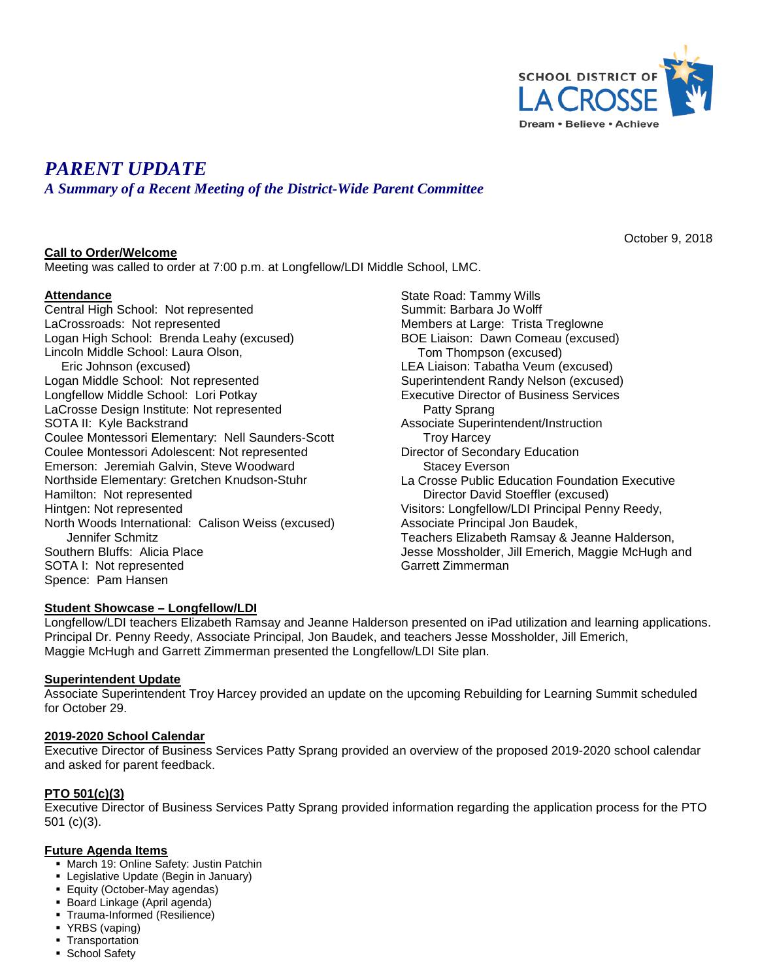

October 9, 2018

# *PARENT UPDATE*

*A Summary of a Recent Meeting of the District-Wide Parent Committee*

## **Call to Order/Welcome**

Meeting was called to order at 7:00 p.m. at Longfellow/LDI Middle School, LMC.

## **Attendance**

Central High School: Not represented LaCrossroads: Not represented Logan High School: Brenda Leahy (excused) Lincoln Middle School: Laura Olson, Eric Johnson (excused) Logan Middle School: Not represented Longfellow Middle School: Lori Potkay LaCrosse Design Institute: Not represented SOTA II: Kyle Backstrand Coulee Montessori Elementary: Nell Saunders-Scott Coulee Montessori Adolescent: Not represented Emerson: Jeremiah Galvin, Steve Woodward Northside Elementary: Gretchen Knudson-Stuhr Hamilton: Not represented Hintgen: Not represented North Woods International: Calison Weiss (excused) Jennifer Schmitz Southern Bluffs: Alicia Place SOTA I: Not represented Spence: Pam Hansen

State Road: Tammy Wills Summit: Barbara Jo Wolff Members at Large: Trista Treglowne BOE Liaison: Dawn Comeau (excused) Tom Thompson (excused) LEA Liaison: Tabatha Veum (excused) Superintendent Randy Nelson (excused) Executive Director of Business Services Patty Sprang Associate Superintendent/Instruction Troy Harcey Director of Secondary Education Stacey Everson La Crosse Public Education Foundation Executive Director David Stoeffler (excused) Visitors: Longfellow/LDI Principal Penny Reedy, Associate Principal Jon Baudek, Teachers Elizabeth Ramsay & Jeanne Halderson, Jesse Mossholder, Jill Emerich, Maggie McHugh and Garrett Zimmerman

## **Student Showcase – Longfellow/LDI**

Longfellow/LDI teachers Elizabeth Ramsay and Jeanne Halderson presented on iPad utilization and learning applications. Principal Dr. Penny Reedy, Associate Principal, Jon Baudek, and teachers Jesse Mossholder, Jill Emerich, Maggie McHugh and Garrett Zimmerman presented the Longfellow/LDI Site plan.

#### **Superintendent Update**

Associate Superintendent Troy Harcey provided an update on the upcoming Rebuilding for Learning Summit scheduled for October 29.

#### **2019-2020 School Calendar**

Executive Director of Business Services Patty Sprang provided an overview of the proposed 2019-2020 school calendar and asked for parent feedback.

#### **PTO 501(c)(3)**

Executive Director of Business Services Patty Sprang provided information regarding the application process for the PTO 501 (c)(3).

#### **Future Agenda Items**

- **March 19: Online Safety: Justin Patchin**
- **Example 3** Legislative Update (Begin in January)
- Equity (October-May agendas)
- Board Linkage (April agenda)
- Trauma-Informed (Resilience)
- YRBS (vaping)
- **Transportation**
- **School Safety**